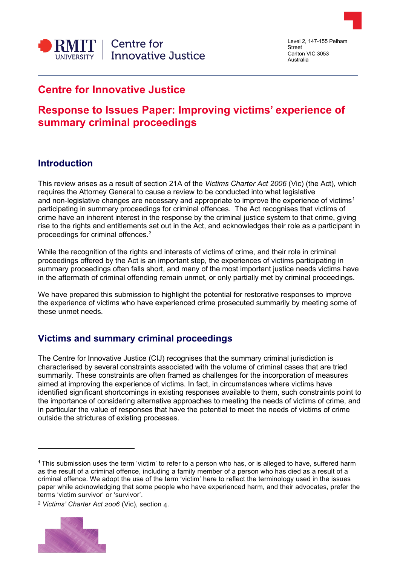

Level 2, 147-155 Pelham Street Carlton VIC 3053 Australia

# **Centre for Innovative Justice**

# **Response to Issues Paper: Improving victims' experience of summary criminal proceedings**

## **Introduction**

This review arises as a result of section 21A of the *Victims Charter Act 2006* (Vic) (the Act), which requires the Attorney General to cause a review to be conducted into what legislative and non-legislative changes are necessary and appropriate to improve the experience of victims<sup>[1](#page-0-0)</sup> participating in summary proceedings for criminal offences. The Act recognises that victims of crime have an inherent interest in the response by the criminal justice system to that crime, giving rise to the rights and entitlements set out in the Act, and acknowledges their role as a participant in proceedings for criminal offences.<sup>[2](#page-0-1)</sup>

While the recognition of the rights and interests of victims of crime, and their role in criminal proceedings offered by the Act is an important step, the experiences of victims participating in summary proceedings often falls short, and many of the most important justice needs victims have in the aftermath of criminal offending remain unmet, or only partially met by criminal proceedings.

We have prepared this submission to highlight the potential for restorative responses to improve the experience of victims who have experienced crime prosecuted summarily by meeting some of these unmet needs.

# **Victims and summary criminal proceedings**

The Centre for Innovative Justice (CIJ) recognises that the summary criminal jurisdiction is characterised by several constraints associated with the volume of criminal cases that are tried summarily. These constraints are often framed as challenges for the incorporation of measures aimed at improving the experience of victims. In fact, in circumstances where victims have identified significant shortcomings in existing responses available to them, such constraints point to the importance of considering alternative approaches to meeting the needs of victims of crime, and in particular the value of responses that have the potential to meet the needs of victims of crime outside the strictures of existing processes.

<span id="page-0-1"></span><sup>2</sup> *Victims' Charter Act 2006* (Vic), section 4.



<span id="page-0-0"></span>**<sup>1</sup>** This submission uses the term 'victim' to refer to a person who has, or is alleged to have, suffered harm as the result of a criminal offence, including a family member of a person who has died as a result of a criminal offence. We adopt the use of the term 'victim' here to reflect the terminology used in the issues paper while acknowledging that some people who have experienced harm, and their advocates, prefer the terms 'victim survivor' or 'survivor'.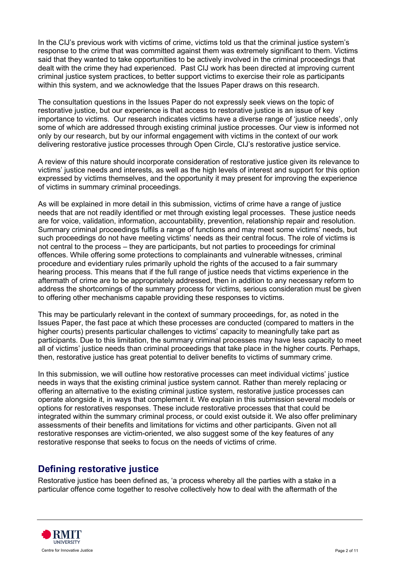In the CIJ's previous work with victims of crime, victims told us that the criminal justice system's response to the crime that was committed against them was extremely significant to them. Victims said that they wanted to take opportunities to be actively involved in the criminal proceedings that dealt with the crime they had experienced. Past CIJ work has been directed at improving current criminal justice system practices, to better support victims to exercise their role as participants within this system, and we acknowledge that the Issues Paper draws on this research.

The consultation questions in the Issues Paper do not expressly seek views on the topic of restorative justice, but our experience is that access to restorative justice is an issue of key importance to victims. Our research indicates victims have a diverse range of 'justice needs', only some of which are addressed through existing criminal justice processes. Our view is informed not only by our research, but by our informal engagement with victims in the context of our work delivering restorative justice processes through Open Circle, CIJ's restorative justice service.

A review of this nature should incorporate consideration of restorative justice given its relevance to victims' justice needs and interests, as well as the high levels of interest and support for this option expressed by victims themselves, and the opportunity it may present for improving the experience of victims in summary criminal proceedings.

As will be explained in more detail in this submission, victims of crime have a range of justice needs that are not readily identified or met through existing legal processes. These justice needs are for voice, validation, information, accountability, prevention, relationship repair and resolution. Summary criminal proceedings fulfils a range of functions and may meet some victims' needs, but such proceedings do not have meeting victims' needs as their central focus. The role of victims is not central to the process – they are participants, but not parties to proceedings for criminal offences. While offering some protections to complainants and vulnerable witnesses, criminal procedure and evidentiary rules primarily uphold the rights of the accused to a fair summary hearing process. This means that if the full range of justice needs that victims experience in the aftermath of crime are to be appropriately addressed, then in addition to any necessary reform to address the shortcomings of the summary process for victims, serious consideration must be given to offering other mechanisms capable providing these responses to victims.

This may be particularly relevant in the context of summary proceedings, for, as noted in the Issues Paper, the fast pace at which these processes are conducted (compared to matters in the higher courts) presents particular challenges to victims' capacity to meaningfully take part as participants. Due to this limitation, the summary criminal processes may have less capacity to meet all of victims' justice needs than criminal proceedings that take place in the higher courts. Perhaps, then, restorative justice has great potential to deliver benefits to victims of summary crime.

In this submission, we will outline how restorative processes can meet individual victims' justice needs in ways that the existing criminal justice system cannot. Rather than merely replacing or offering an alternative to the existing criminal justice system, restorative justice processes can operate alongside it, in ways that complement it. We explain in this submission several models or options for restoratives responses. These include restorative processes that that could be integrated within the summary criminal process, or could exist outside it. We also offer preliminary assessments of their benefits and limitations for victims and other participants. Given not all restorative responses are victim-oriented, we also suggest some of the key features of any restorative response that seeks to focus on the needs of victims of crime.

### **Defining restorative justice**

Restorative justice has been defined as, 'a process whereby all the parties with a stake in a particular offence come together to resolve collectively how to deal with the aftermath of the

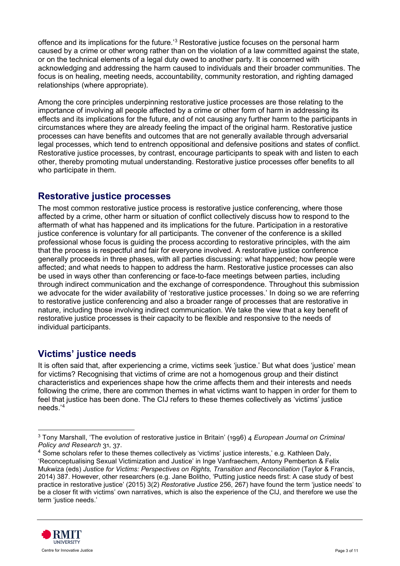offence and its implications for the future.<sup>[3](#page-2-0)</sup> Restorative justice focuses on the personal harm caused by a crime or other wrong rather than on the violation of a law committed against the state, or on the technical elements of a legal duty owed to another party. It is concerned with acknowledging and addressing the harm caused to individuals and their broader communities. The focus is on healing, meeting needs, accountability, community restoration, and righting damaged relationships (where appropriate).

Among the core principles underpinning restorative justice processes are those relating to the importance of involving all people affected by a crime or other form of harm in addressing its effects and its implications for the future, and of not causing any further harm to the participants in circumstances where they are already feeling the impact of the original harm. Restorative justice processes can have benefits and outcomes that are not generally available through adversarial legal processes, which tend to entrench oppositional and defensive positions and states of conflict. Restorative justice processes, by contrast, encourage participants to speak with and listen to each other, thereby promoting mutual understanding. Restorative justice processes offer benefits to all who participate in them.

### **Restorative justice processes**

The most common restorative justice process is restorative justice conferencing, where those affected by a crime, other harm or situation of conflict collectively discuss how to respond to the aftermath of what has happened and its implications for the future. Participation in a restorative justice conference is voluntary for all participants. The convener of the conference is a skilled professional whose focus is guiding the process according to restorative principles, with the aim that the process is respectful and fair for everyone involved. A restorative justice conference generally proceeds in three phases, with all parties discussing: what happened; how people were affected; and what needs to happen to address the harm. Restorative justice processes can also be used in ways other than conferencing or face-to-face meetings between parties, including through indirect communication and the exchange of correspondence. Throughout this submission we advocate for the wider availability of 'restorative justice processes.' In doing so we are referring to restorative justice conferencing and also a broader range of processes that are restorative in nature, including those involving indirect communication. We take the view that a key benefit of restorative justice processes is their capacity to be flexible and responsive to the needs of individual participants.

### **Victims' justice needs**

It is often said that, after experiencing a crime, victims seek 'justice.' But what does 'justice' mean for victims? Recognising that victims of crime are not a homogenous group and their distinct characteristics and experiences shape how the crime affects them and their interests and needs following the crime, there are common themes in what victims want to happen in order for them to feel that justice has been done. The CIJ refers to these themes collectively as 'victims' justice needs.'[4](#page-2-1)

<span id="page-2-1"></span><sup>4</sup> Some scholars refer to these themes collectively as 'victims' justice interests,' e.g. Kathleen Daly, 'Reconceptualising Sexual Victimization and Justice' in Inge Vanfraechem, Antony Pemberton & Felix Mukwiza (eds) *Justice for Victims: Perspectives on Rights, Transition and Reconciliation* (Taylor & Francis, 2014) 387. However, other researchers (e.g. Jane Bolitho, 'Putting justice needs first: A case study of best practice in restorative justice' (2015) 3(2) *Restorative Justice* 256, 267) have found the term 'justice needs' to be a closer fit with victims' own narratives, which is also the experience of the CIJ, and therefore we use the term 'justice needs.'



<span id="page-2-0"></span><sup>3</sup> Tony Marshall, 'The evolution of restorative justice in Britain' (1996) 4 *European Journal on Criminal Policy and Research* 31, 37.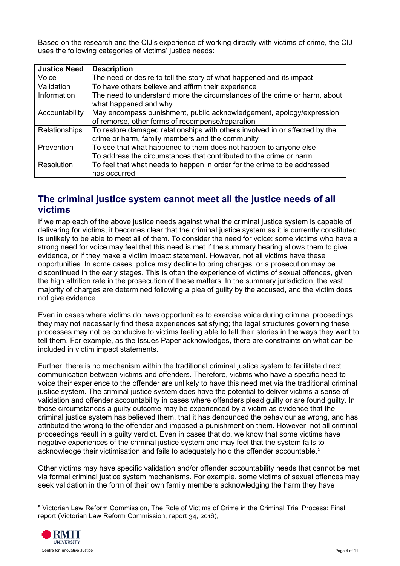Based on the research and the CIJ's experience of working directly with victims of crime, the CIJ uses the following categories of victims' justice needs:

| <b>Justice Need</b>  | <b>Description</b>                                                          |
|----------------------|-----------------------------------------------------------------------------|
| Voice                | The need or desire to tell the story of what happened and its impact        |
| Validation           | To have others believe and affirm their experience                          |
| Information          | The need to understand more the circumstances of the crime or harm, about   |
|                      | what happened and why                                                       |
| Accountability       | May encompass punishment, public acknowledgement, apology/expression        |
|                      | of remorse, other forms of recompense/reparation                            |
| <b>Relationships</b> | To restore damaged relationships with others involved in or affected by the |
|                      | crime or harm, family members and the community                             |
| Prevention           | To see that what happened to them does not happen to anyone else            |
|                      | To address the circumstances that contributed to the crime or harm          |
| Resolution           | To feel that what needs to happen in order for the crime to be addressed    |
|                      | has occurred                                                                |

### **The criminal justice system cannot meet all the justice needs of all victims**

If we map each of the above justice needs against what the criminal justice system is capable of delivering for victims, it becomes clear that the criminal justice system as it is currently constituted is unlikely to be able to meet all of them. To consider the need for voice: some victims who have a strong need for voice may feel that this need is met if the summary hearing allows them to give evidence, or if they make a victim impact statement. However, not all victims have these opportunities. In some cases, police may decline to bring charges, or a prosecution may be discontinued in the early stages. This is often the experience of victims of sexual offences, given the high attrition rate in the prosecution of these matters. In the summary jurisdiction, the vast majority of charges are determined following a plea of guilty by the accused, and the victim does not give evidence.

Even in cases where victims do have opportunities to exercise voice during criminal proceedings they may not necessarily find these experiences satisfying; the legal structures governing these processes may not be conducive to victims feeling able to tell their stories in the ways they want to tell them. For example, as the Issues Paper acknowledges, there are constraints on what can be included in victim impact statements.

Further, there is no mechanism within the traditional criminal justice system to facilitate direct communication between victims and offenders. Therefore, victims who have a specific need to voice their experience to the offender are unlikely to have this need met via the traditional criminal justice system. The criminal justice system does have the potential to deliver victims a sense of validation and offender accountability in cases where offenders plead guilty or are found guilty. In those circumstances a guilty outcome may be experienced by a victim as evidence that the criminal justice system has believed them, that it has denounced the behaviour as wrong, and has attributed the wrong to the offender and imposed a punishment on them. However, not all criminal proceedings result in a guilty verdict. Even in cases that do, we know that some victims have negative experiences of the criminal justice system and may feel that the system fails to acknowledge their victimisation and fails to adequately hold the offender accountable.<sup>[5](#page-3-0)</sup>

Other victims may have specific validation and/or offender accountability needs that cannot be met via formal criminal justice system mechanisms. For example, some victims of sexual offences may seek validation in the form of their own family members acknowledging the harm they have

<span id="page-3-0"></span><sup>5</sup> Victorian Law Reform Commission, The Role of Victims of Crime in the Criminal Trial Process: Final report (Victorian Law Reform Commission, report 34, 2016),

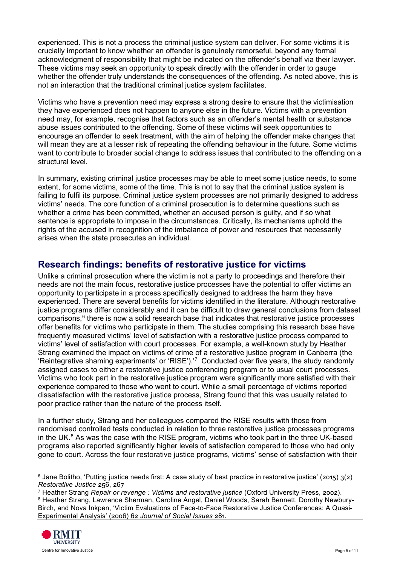experienced. This is not a process the criminal justice system can deliver. For some victims it is crucially important to know whether an offender is genuinely remorseful, beyond any formal acknowledgment of responsibility that might be indicated on the offender's behalf via their lawyer. These victims may seek an opportunity to speak directly with the offender in order to gauge whether the offender truly understands the consequences of the offending. As noted above, this is not an interaction that the traditional criminal justice system facilitates.

Victims who have a prevention need may express a strong desire to ensure that the victimisation they have experienced does not happen to anyone else in the future. Victims with a prevention need may, for example, recognise that factors such as an offender's mental health or substance abuse issues contributed to the offending. Some of these victims will seek opportunities to encourage an offender to seek treatment, with the aim of helping the offender make changes that will mean they are at a lesser risk of repeating the offending behaviour in the future. Some victims want to contribute to broader social change to address issues that contributed to the offending on a structural level.

In summary, existing criminal justice processes may be able to meet some justice needs, to some extent, for some victims, some of the time. This is not to say that the criminal justice system is failing to fulfil its purpose. Criminal justice system processes are not primarily designed to address victims' needs. The core function of a criminal prosecution is to determine questions such as whether a crime has been committed, whether an accused person is guilty, and if so what sentence is appropriate to impose in the circumstances. Critically, its mechanisms uphold the rights of the accused in recognition of the imbalance of power and resources that necessarily arises when the state prosecutes an individual.

### **Research findings: benefits of restorative justice for victims**

Unlike a criminal prosecution where the victim is not a party to proceedings and therefore their needs are not the main focus, restorative justice processes have the potential to offer victims an opportunity to participate in a process specifically designed to address the harm they have experienced. There are several benefits for victims identified in the literature. Although restorative justice programs differ considerably and it can be difficult to draw general conclusions from dataset comparisons, $6$  there is now a solid research base that indicates that restorative justice processes offer benefits for victims who participate in them. The studies comprising this research base have frequently measured victims' level of satisfaction with a restorative justice process compared to victims' level of satisfaction with court processes. For example, a well-known study by Heather Strang examined the impact on victims of crime of a restorative justice program in Canberra (the 'Reintegrative shaming experiments' or 'RISE').'<sup>[7](#page-4-1)</sup> Conducted over five years, the study randomly assigned cases to either a restorative justice conferencing program or to usual court processes. Victims who took part in the restorative justice program were significantly more satisfied with their experience compared to those who went to court. While a small percentage of victims reported dissatisfaction with the restorative justice process, Strang found that this was usually related to poor practice rather than the nature of the process itself.

In a further study, Strang and her colleagues compared the RISE results with those from randomised controlled tests conducted in relation to three restorative justice processes programs in the UK. $8$  As was the case with the RISE program, victims who took part in the three UK-based programs also reported significantly higher levels of satisfaction compared to those who had only gone to court. Across the four restorative justice programs, victims' sense of satisfaction with their

<span id="page-4-2"></span><sup>8</sup> Heather Strang, Lawrence Sherman, Caroline Angel, Daniel Woods, Sarah Bennett, Dorothy Newbury-Birch, and Nova Inkpen, 'Victim Evaluations of Face-to-Face Restorative Justice Conferences: A Quasi-Experimental Analysis' (2006) 62 *Journal of Social Issues* 281.



<span id="page-4-0"></span> $6$  Jane Bolitho, 'Putting justice needs first: A case study of best practice in restorative justice' (2015)  $3(2)$ *Restorative Justice* 256, 267

<span id="page-4-1"></span><sup>7</sup> Heather Strang *Repair or revenge : Victims and restorative justice* (Oxford University Press, 2002).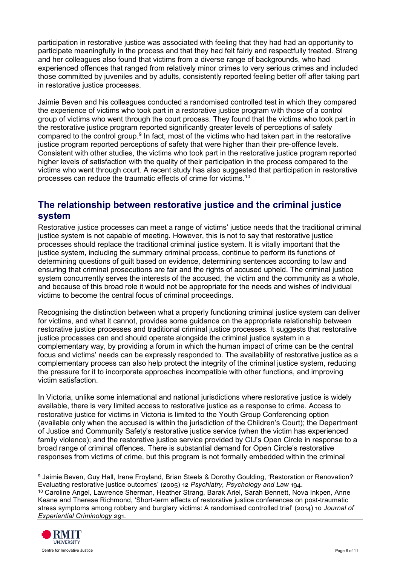participation in restorative justice was associated with feeling that they had had an opportunity to participate meaningfully in the process and that they had felt fairly and respectfully treated. Strang and her colleagues also found that victims from a diverse range of backgrounds, who had experienced offences that ranged from relatively minor crimes to very serious crimes and included those committed by juveniles and by adults, consistently reported feeling better off after taking part in restorative justice processes.

Jaimie Beven and his colleagues conducted a randomised controlled test in which they compared the experience of victims who took part in a restorative justice program with those of a control group of victims who went through the court process. They found that the victims who took part in the restorative justice program reported significantly greater levels of perceptions of safety compared to the control group.<sup>[9](#page-5-0)</sup> In fact, most of the victims who had taken part in the restorative justice program reported perceptions of safety that were higher than their pre-offence levels. Consistent with other studies, the victims who took part in the restorative justice program reported higher levels of satisfaction with the quality of their participation in the process compared to the victims who went through court. A recent study has also suggested that participation in restorative processes can reduce the traumatic effects of crime for victims.[10](#page-5-1)

## **The relationship between restorative justice and the criminal justice system**

Restorative justice processes can meet a range of victims' justice needs that the traditional criminal justice system is not capable of meeting. However, this is not to say that restorative justice processes should replace the traditional criminal justice system. It is vitally important that the justice system, including the summary criminal process, continue to perform its functions of determining questions of guilt based on evidence, determining sentences according to law and ensuring that criminal prosecutions are fair and the rights of accused upheld. The criminal justice system concurrently serves the interests of the accused, the victim and the community as a whole, and because of this broad role it would not be appropriate for the needs and wishes of individual victims to become the central focus of criminal proceedings.

Recognising the distinction between what a properly functioning criminal justice system can deliver for victims, and what it cannot, provides some guidance on the appropriate relationship between restorative justice processes and traditional criminal justice processes. It suggests that restorative justice processes can and should operate alongside the criminal justice system in a complementary way, by providing a forum in which the human impact of crime can be the central focus and victims' needs can be expressly responded to. The availability of restorative justice as a complementary process can also help protect the integrity of the criminal justice system, reducing the pressure for it to incorporate approaches incompatible with other functions, and improving victim satisfaction.

In Victoria, unlike some international and national jurisdictions where restorative justice is widely available, there is very limited access to restorative justice as a response to crime. Access to restorative justice for victims in Victoria is limited to the Youth Group Conferencing option (available only when the accused is within the jurisdiction of the Children's Court); the Department of Justice and Community Safety's restorative justice service (when the victim has experienced family violence); and the restorative justice service provided by CIJ's Open Circle in response to a broad range of criminal offences. There is substantial demand for Open Circle's restorative responses from victims of crime, but this program is not formally embedded within the criminal

<span id="page-5-1"></span><span id="page-5-0"></span><sup>9</sup> Jaimie Beven, Guy Hall, Irene Froyland, Brian Steels & Dorothy Goulding, 'Restoration or Renovation? Evaluating restorative justice outcomes' (2005) 12 *Psychiatry, Psychology and Law* 194. <sup>10</sup> Caroline Angel, Lawrence Sherman, Heather Strang, Barak Ariel, Sarah Bennett, Nova Inkpen, Anne Keane and Therese Richmond, 'Short-term effects of restorative justice conferences on post-traumatic stress symptoms among robbery and burglary victims: A randomised controlled trial' (2014) 10 *Journal of Experiential Criminology* 291.

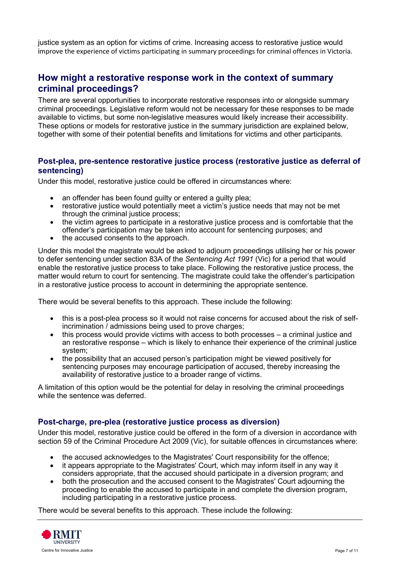justice system as an option for victims of crime. Increasing access to restorative justice would improve the experience of victims participating in summary proceedings for criminal offences in Victoria.

### **How might a restorative response work in the context of summary criminal proceedings?**

There are several opportunities to incorporate restorative responses into or alongside summary criminal proceedings. Legislative reform would not be necessary for these responses to be made available to victims, but some non-legislative measures would likely increase their accessibility. These options or models for restorative justice in the summary jurisdiction are explained below, together with some of their potential benefits and limitations for victims and other participants.

#### **Post-plea, pre-sentence restorative justice process (restorative justice as deferral of sentencing)**

Under this model, restorative justice could be offered in circumstances where:

- an offender has been found guilty or entered a guilty plea;
- restorative justice would potentially meet a victim's justice needs that may not be met through the criminal justice process;
- the victim agrees to participate in a restorative justice process and is comfortable that the offender's participation may be taken into account for sentencing purposes; and
- the accused consents to the approach.

Under this model the magistrate would be asked to adjourn proceedings utilising her or his power to defer sentencing under section 83A of the *Sentencing Act 1991* (Vic) for a period that would enable the restorative justice process to take place. Following the restorative justice process, the matter would return to court for sentencing. The magistrate could take the offender's participation in a restorative justice process to account in determining the appropriate sentence.

There would be several benefits to this approach. These include the following:

- this is a post-plea process so it would not raise concerns for accused about the risk of selfincrimination / admissions being used to prove charges;
- this process would provide victims with access to both processes a criminal justice and an restorative response – which is likely to enhance their experience of the criminal justice system;
- the possibility that an accused person's participation might be viewed positively for sentencing purposes may encourage participation of accused, thereby increasing the availability of restorative justice to a broader range of victims.

A limitation of this option would be the potential for delay in resolving the criminal proceedings while the sentence was deferred.

#### **Post-charge, pre-plea (restorative justice process as diversion)**

Under this model, restorative justice could be offered in the form of a diversion in accordance with section 59 of the Criminal Procedure Act 2009 (Vic), for suitable offences in circumstances where:

- the accused acknowledges to the Magistrates' Court responsibility for the offence;
- it appears appropriate to the Magistrates' Court, which may inform itself in any way it considers appropriate, that the accused should participate in a diversion program; and
- both the prosecution and the accused consent to the Magistrates' Court adjourning the proceeding to enable the accused to participate in and complete the diversion program, including participating in a restorative justice process.

There would be several benefits to this approach. These include the following:

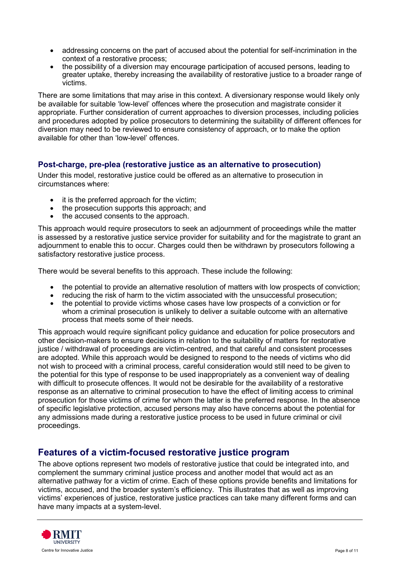- addressing concerns on the part of accused about the potential for self-incrimination in the context of a restorative process;
- the possibility of a diversion may encourage participation of accused persons, leading to greater uptake, thereby increasing the availability of restorative justice to a broader range of victims.

There are some limitations that may arise in this context. A diversionary response would likely only be available for suitable 'low-level' offences where the prosecution and magistrate consider it appropriate. Further consideration of current approaches to diversion processes, including policies and procedures adopted by police prosecutors to determining the suitability of different offences for diversion may need to be reviewed to ensure consistency of approach, or to make the option available for other than 'low-level' offences.

#### **Post-charge, pre-plea (restorative justice as an alternative to prosecution)**

Under this model, restorative justice could be offered as an alternative to prosecution in circumstances where:

- it is the preferred approach for the victim:
- the prosecution supports this approach; and
- the accused consents to the approach.

This approach would require prosecutors to seek an adjournment of proceedings while the matter is assessed by a restorative justice service provider for suitability and for the magistrate to grant an adjournment to enable this to occur. Charges could then be withdrawn by prosecutors following a satisfactory restorative justice process.

There would be several benefits to this approach. These include the following:

- the potential to provide an alternative resolution of matters with low prospects of conviction;<br>• reducing the risk of harm to the victim associated with the unsuccessful prosecution;
- reducing the risk of harm to the victim associated with the unsuccessful prosecution;
- the potential to provide victims whose cases have low prospects of a conviction or for whom a criminal prosecution is unlikely to deliver a suitable outcome with an alternative process that meets some of their needs.

This approach would require significant policy guidance and education for police prosecutors and other decision-makers to ensure decisions in relation to the suitability of matters for restorative justice / withdrawal of proceedings are victim-centred, and that careful and consistent processes are adopted. While this approach would be designed to respond to the needs of victims who did not wish to proceed with a criminal process, careful consideration would still need to be given to the potential for this type of response to be used inappropriately as a convenient way of dealing with difficult to prosecute offences. It would not be desirable for the availability of a restorative response as an alternative to criminal prosecution to have the effect of limiting access to criminal prosecution for those victims of crime for whom the latter is the preferred response. In the absence of specific legislative protection, accused persons may also have concerns about the potential for any admissions made during a restorative justice process to be used in future criminal or civil proceedings.

### **Features of a victim-focused restorative justice program**

The above options represent two models of restorative justice that could be integrated into, and complement the summary criminal justice process and another model that would act as an alternative pathway for a victim of crime. Each of these options provide benefits and limitations for victims, accused, and the broader system's efficiency. This illustrates that as well as improving victims' experiences of justice, restorative justice practices can take many different forms and can have many impacts at a system-level.

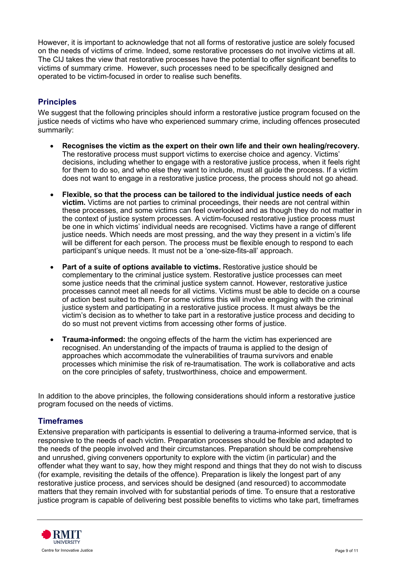However, it is important to acknowledge that not all forms of restorative justice are solely focused on the needs of victims of crime. Indeed, some restorative processes do not involve victims at all. The CIJ takes the view that restorative processes have the potential to offer significant benefits to victims of summary crime. However, such processes need to be specifically designed and operated to be victim-focused in order to realise such benefits.

### **Principles**

We suggest that the following principles should inform a restorative justice program focused on the justice needs of victims who have who experienced summary crime, including offences prosecuted summarily:

- **Recognises the victim as the expert on their own life and their own healing/recovery.** The restorative process must support victims to exercise choice and agency. Victims' decisions, including whether to engage with a restorative justice process, when it feels right for them to do so, and who else they want to include, must all guide the process. If a victim does not want to engage in a restorative justice process, the process should not go ahead.
- **Flexible, so that the process can be tailored to the individual justice needs of each victim.** Victims are not parties to criminal proceedings, their needs are not central within these processes, and some victims can feel overlooked and as though they do not matter in the context of justice system processes. A victim-focused restorative justice process must be one in which victims' individual needs are recognised. Victims have a range of different justice needs. Which needs are most pressing, and the way they present in a victim's life will be different for each person. The process must be flexible enough to respond to each participant's unique needs. It must not be a 'one-size-fits-all' approach.
- **Part of a suite of options available to victims.** Restorative justice should be complementary to the criminal justice system. Restorative justice processes can meet some justice needs that the criminal justice system cannot. However, restorative justice processes cannot meet all needs for all victims. Victims must be able to decide on a course of action best suited to them. For some victims this will involve engaging with the criminal justice system and participating in a restorative justice process. It must always be the victim's decision as to whether to take part in a restorative justice process and deciding to do so must not prevent victims from accessing other forms of justice.
- **Trauma-informed:** the ongoing effects of the harm the victim has experienced are recognised. An understanding of the impacts of trauma is applied to the design of approaches which accommodate the vulnerabilities of trauma survivors and enable processes which minimise the risk of re-traumatisation. The work is collaborative and acts on the core principles of safety, trustworthiness, choice and empowerment.

In addition to the above principles, the following considerations should inform a restorative justice program focused on the needs of victims.

#### **Timeframes**

Extensive preparation with participants is essential to delivering a trauma-informed service, that is responsive to the needs of each victim. Preparation processes should be flexible and adapted to the needs of the people involved and their circumstances. Preparation should be comprehensive and unrushed, giving conveners opportunity to explore with the victim (in particular) and the offender what they want to say, how they might respond and things that they do not wish to discuss (for example, revisiting the details of the offence). Preparation is likely the longest part of any restorative justice process, and services should be designed (and resourced) to accommodate matters that they remain involved with for substantial periods of time. To ensure that a restorative justice program is capable of delivering best possible benefits to victims who take part, timeframes

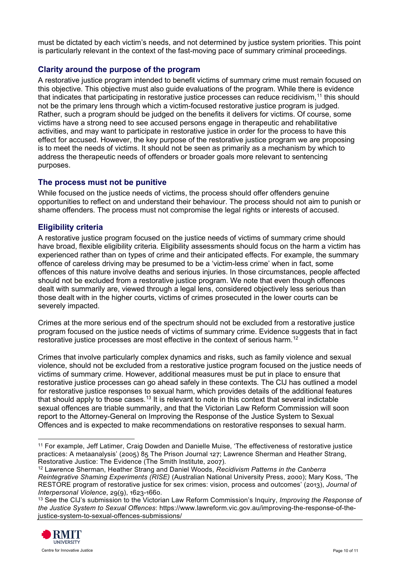must be dictated by each victim's needs, and not determined by justice system priorities. This point is particularly relevant in the context of the fast-moving pace of summary criminal proceedings.

### **Clarity around the purpose of the program**

A restorative justice program intended to benefit victims of summary crime must remain focused on this objective. This objective must also guide evaluations of the program. While there is evidence that indicates that participating in restorative justice processes can reduce recidivism,<sup>[11](#page-9-0)</sup> this should not be the primary lens through which a victim-focused restorative justice program is judged. Rather, such a program should be judged on the benefits it delivers for victims. Of course, some victims have a strong need to see accused persons engage in therapeutic and rehabilitative activities, and may want to participate in restorative justice in order for the process to have this effect for accused. However, the key purpose of the restorative justice program we are proposing is to meet the needs of victims. It should not be seen as primarily as a mechanism by which to address the therapeutic needs of offenders or broader goals more relevant to sentencing purposes.

#### **The process must not be punitive**

While focused on the justice needs of victims, the process should offer offenders genuine opportunities to reflect on and understand their behaviour. The process should not aim to punish or shame offenders. The process must not compromise the legal rights or interests of accused.

#### **Eligibility criteria**

A restorative justice program focused on the justice needs of victims of summary crime should have broad, flexible eligibility criteria. Eligibility assessments should focus on the harm a victim has experienced rather than on types of crime and their anticipated effects. For example, the summary offence of careless driving may be presumed to be a 'victim-less crime' when in fact, some offences of this nature involve deaths and serious injuries. In those circumstances, people affected should not be excluded from a restorative justice program. We note that even though offences dealt with summarily are, viewed through a legal lens, considered objectively less serious than those dealt with in the higher courts, victims of crimes prosecuted in the lower courts can be severely impacted.

Crimes at the more serious end of the spectrum should not be excluded from a restorative justice program focused on the justice needs of victims of summary crime. Evidence suggests that in fact restorative justice processes are most effective in the context of serious harm.<sup>[12](#page-9-1)</sup>

Crimes that involve particularly complex dynamics and risks, such as family violence and sexual violence, should not be excluded from a restorative justice program focused on the justice needs of victims of summary crime. However, additional measures must be put in place to ensure that restorative justice processes can go ahead safely in these contexts. The CIJ has outlined a model for restorative justice responses to sexual harm, which provides details of the additional features that should apply to those cases.<sup>[13](#page-9-2)</sup> It is relevant to note in this context that several indictable sexual offences are triable summarily, and that the Victorian Law Reform Commission will soon report to the Attorney-General on Improving the Response of the Justice System to Sexual Offences and is expected to make recommendations on restorative responses to sexual harm.

<span id="page-9-2"></span><sup>13</sup> See the CIJ's submission to the Victorian Law Reform Commission's Inquiry, *Improving the Response of the Justice System to Sexual Offences*: https://www.lawreform.vic.gov.au/improving-the-response-of-thejustice-system-to-sexual-offences-submissions/



<span id="page-9-0"></span><sup>11</sup> For example, Jeff Latimer, Craig Dowden and Danielle Muise, 'The effectiveness of restorative justice practices: A metaanalysis' (2005) 85 The Prison Journal 127; Lawrence Sherman and Heather Strang, Restorative Justice: The Evidence (The Smith Institute, 2007).

<span id="page-9-1"></span><sup>12</sup> Lawrence Sherman, Heather Strang and Daniel Woods, *Recidivism Patterns in the Canberra Reintegrative Shaming Experiments (RISE)* (Australian National University Press, 2000); Mary Koss, 'The RESTORE program of restorative justice for sex crimes: vision, process and outcomes' (2013), *Journal of Interpersonal Violence*, 29(9), 1623-1660.